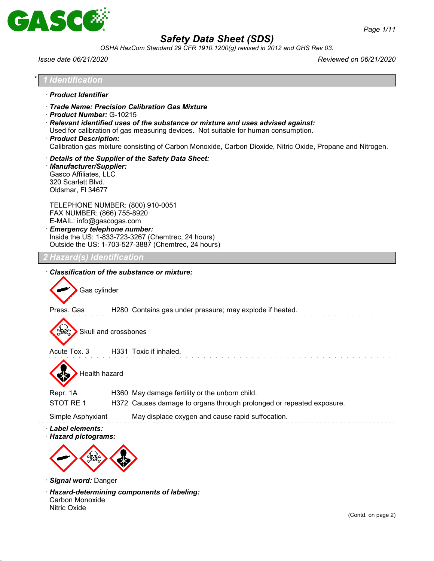

*OSHA HazCom Standard 29 CFR 1910.1200(g) revised in 2012 and GHS Rev 03.*

*Issue date 06/21/2020 Reviewed on 06/21/2020*

*Page 1/11*

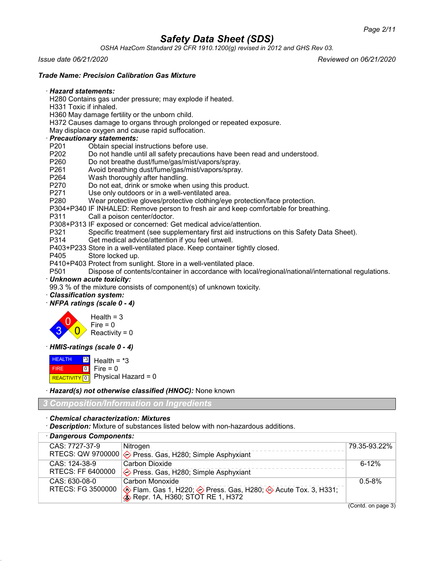*OSHA HazCom Standard 29 CFR 1910.1200(g) revised in 2012 and GHS Rev 03.*

*Issue date 06/21/2020 Reviewed on 06/21/2020*

## *Trade Name: Precision Calibration Gas Mixture*

#### · *Hazard statements:*

H280 Contains gas under pressure; may explode if heated.

- H331 Toxic if inhaled.
- H360 May damage fertility or the unborn child.

H372 Causes damage to organs through prolonged or repeated exposure.

May displace oxygen and cause rapid suffocation.

# · *Precautionary statements:*

- Obtain special instructions before use.
- P202 Do not handle until all safety precautions have been read and understood.<br>P260 Do not breathe dust/fume/gas/mist/vapors/sprav.
- Do not breathe dust/fume/gas/mist/vapors/spray.
- P261 Avoid breathing dust/fume/gas/mist/vapors/spray.
- P264 Wash thoroughly after handling.
- P270 Do not eat, drink or smoke when using this product.
- P271 Use only outdoors or in a well-ventilated area.
- Wear protective gloves/protective clothing/eye protection/face protection.
- P304+P340 IF INHALED: Remove person to fresh air and keep comfortable for breathing.
- P311 Call a poison center/doctor.
- P308+P313 IF exposed or concerned: Get medical advice/attention.
- P321 Specific treatment (see supplementary first aid instructions on this Safety Data Sheet).
- P314 Get medical advice/attention if you feel unwell.
- P403+P233 Store in a well-ventilated place. Keep container tightly closed.
- P405 Store locked up.
- P410+P403 Protect from sunlight. Store in a well-ventilated place.
- P501 Dispose of contents/container in accordance with local/regional/national/international regulations.
- · *Unknown acute toxicity:*
- 99.3 % of the mixture consists of component(s) of unknown toxicity.
- · *Classification system:*

· *NFPA ratings (scale 0 - 4)*



· *HMIS-ratings (scale 0 - 4)*

**HEALTH FIRE REACTIVITY** 0 \*3  $\boxed{0}$ Health =  $*3$ Fire  $= 0$ Physical Hazard = 0

· *Hazard(s) not otherwise classified (HNOC):* None known

*3 Composition/Information on Ingredients*

## · *Chemical characterization: Mixtures*

· *Description:* Mixture of substances listed below with non-hazardous additions.

| · Dangerous Components: |                                                                                                     |              |
|-------------------------|-----------------------------------------------------------------------------------------------------|--------------|
| CAS: 7727-37-9          | Nitrogen                                                                                            | 79.35-93.22% |
|                         | RTECS: QW 9700000 $\diamondsuit$ Press. Gas, H280; Simple Asphyxiant                                |              |
| CAS: 124-38-9           | Carbon Dioxide                                                                                      | $6 - 12%$    |
| RTECS: FF 6400000       | $\Diamond$ Press. Gas, H280; Simple Asphyxiant                                                      |              |
| CAS: 630-08-0           | Carbon Monoxide                                                                                     | $0.5 - 8\%$  |
| RTECS: FG 3500000       | ◈ Flam. Gas 1, H220; ◇ Press. Gas, H280; ◈ Acute Tox. 3, H331;<br>◈ Repr. 1A, H360; STOT RE 1, H372 |              |
|                         |                                                                                                     |              |

(Contd. on page 3)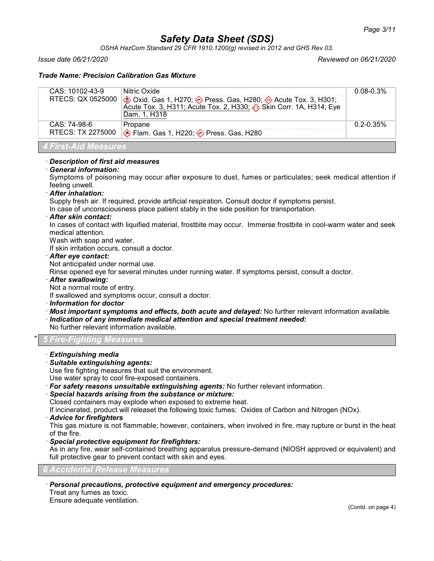*OSHA HazCom Standard 29 CFR 1910.1200(g) revised in 2012 and GHS Rev 03.*

*Issue date 06/21/2020 Reviewed on 06/21/2020*

## *Trade Name: Precision Calibration Gas Mixture*

| CAS: 10102-43-9<br>Nitric Oxide<br>RTECS: QX 0525000<br>Dam. 1, H318                           | $0.08 - 0.3\%$<br><b> ◆ Oxid. Gas 1, H270; ◆ Press. Gas, H280; ◆ Acute Tox. 3, H301; Acute Tox. 3, H311; Acute Tox. 2, H330; ◆ Skin Corr. 1A, H314; Eye</b> |
|------------------------------------------------------------------------------------------------|-------------------------------------------------------------------------------------------------------------------------------------------------------------|
| CAS: 74-98-6<br>Propane<br>RTECS: TX 2275000<br><b>♦ Flam. Gas 1, H220; ♦ Press. Gas, H280</b> | $0.2 - 0.35\%$                                                                                                                                              |

*4 First-Aid Measures*

## · *Description of first aid measures*

## · *General information:*

Symptoms of poisoning may occur after exposure to dust, fumes or particulates; seek medical attention if feeling unwell.

## · *After inhalation:*

Supply fresh air. If required, provide artificial respiration. Consult doctor if symptoms persist.

In case of unconsciousness place patient stably in the side position for transportation.

## · *After skin contact:*

In cases of contact with liquified material, frostbite may occur. Immerse frostbite in cool-warm water and seek medical attention.

Wash with soap and water.

If skin irritation occurs, consult a doctor.

## · *After eye contact:*

Not anticipated under normal use.

Rinse opened eye for several minutes under running water. If symptoms persist, consult a doctor.

· *After swallowing:*

Not a normal route of entry.

If swallowed and symptoms occur, consult a doctor.

- · *Information for doctor*
- · *Most important symptoms and effects, both acute and delayed:* No further relevant information available.
- · *Indication of any immediate medical attention and special treatment needed:*
- No further relevant information available.

## \* *5 Fire-Fighting Measures*

## · *Extinguishing media*

## · *Suitable extinguishing agents:*

Use fire fighting measures that suit the environment.

Use water spray to cool fire-exposed containers.

· *For safety reasons unsuitable extinguishing agents:* No further relevant information.

## · *Special hazards arising from the substance or mixture:*

Closed containers may explode when exposed to extreme heat.

If incinerated, product will releaset the following toxic fumes: Oxides of Carbon and Nitrogen (NOx).

· *Advice for firefighters*

This gas mixture is not flammable; however, containers, when involved in fire, may rupture or burst in the heat of the fire.

· *Special protective equipment for firefighters:*

As in any fire, wear self-contained breathing apparatus pressure-demand (NIOSH approved or equivalent) and full protective gear to prevent contact with skin and eyes.

## *6 Accidental Release Measures*

- · *Personal precautions, protective equipment and emergency procedures:*
- Treat any fumes as toxic.

Ensure adequate ventilation.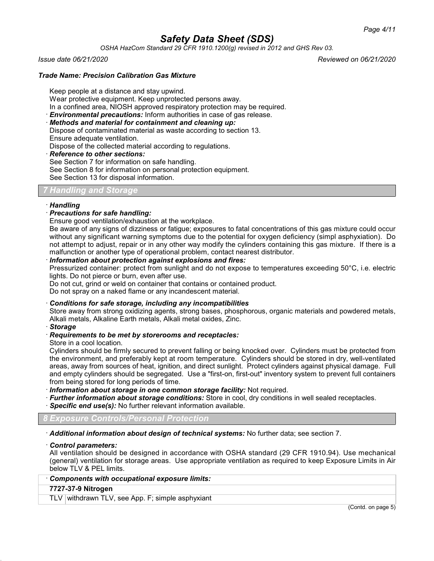*OSHA HazCom Standard 29 CFR 1910.1200(g) revised in 2012 and GHS Rev 03.*

*Issue date 06/21/2020 Reviewed on 06/21/2020*

## *Trade Name: Precision Calibration Gas Mixture*

Keep people at a distance and stay upwind. Wear protective equipment. Keep unprotected persons away. In a confined area, NIOSH approved respiratory protection may be required.

· *Environmental precautions:* Inform authorities in case of gas release.

## · *Methods and material for containment and cleaning up:*

Dispose of contaminated material as waste according to section 13.

- Ensure adequate ventilation. Dispose of the collected material according to regulations.
- · *Reference to other sections:*
- See Section 7 for information on safe handling.
- See Section 8 for information on personal protection equipment.

See Section 13 for disposal information.

## *7 Handling and Storage*

## · *Handling*

## · *Precautions for safe handling:*

Ensure good ventilation/exhaustion at the workplace.

Be aware of any signs of dizziness or fatigue; exposures to fatal concentrations of this gas mixture could occur without any significant warning symptoms due to the potential for oxygen deficiency (simpl asphyxiation). Do not attempt to adjust, repair or in any other way modify the cylinders containing this gas mixture. If there is a malfunction or another type of operational problem, contact nearest distributor.

## · *Information about protection against explosions and fires:*

Pressurized container: protect from sunlight and do not expose to temperatures exceeding 50°C, i.e. electric lights. Do not pierce or burn, even after use.

Do not cut, grind or weld on container that contains or contained product.

Do not spray on a naked flame or any incandescent material.

## · *Conditions for safe storage, including any incompatibilities*

Store away from strong oxidizing agents, strong bases, phosphorous, organic materials and powdered metals, Alkali metals, Alkaline Earth metals, Alkali metal oxides, Zinc.

· *Storage*

## · *Requirements to be met by storerooms and receptacles:*

Store in a cool location.

Cylinders should be firmly secured to prevent falling or being knocked over. Cylinders must be protected from the environment, and preferably kept at room temperature. Cylinders should be stored in dry, well-ventilated areas, away from sources of heat, ignition, and direct sunlight. Protect cylinders against physical damage. Full and empty cylinders should be segregated. Use a "first-on, first-out" inventory system to prevent full containers from being stored for long periods of time.

· *Information about storage in one common storage facility:* Not required.

- · *Further information about storage conditions:* Store in cool, dry conditions in well sealed receptacles.
- · *Specific end use(s):* No further relevant information available.

*8 Exposure Controls/Personal Protection*

· *Additional information about design of technical systems:* No further data; see section 7.

## · *Control parameters:*

All ventilation should be designed in accordance with OSHA standard (29 CFR 1910.94). Use mechanical (general) ventilation for storage areas. Use appropriate ventilation as required to keep Exposure Limits in Air below TLV & PEL limits.

## · *Components with occupational exposure limits:*

## **7727-37-9 Nitrogen**

TLV withdrawn TLV, see App. F; simple asphyxiant

(Contd. on page 5)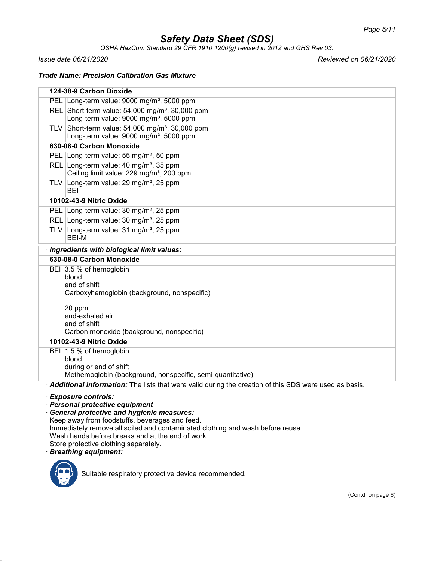*OSHA HazCom Standard 29 CFR 1910.1200(g) revised in 2012 and GHS Rev 03.*

*Issue date 06/21/2020 Reviewed on 06/21/2020*

*Trade Name: Precision Calibration Gas Mixture*

| 124-38-9 Carbon Dioxide                                                                                             |  |
|---------------------------------------------------------------------------------------------------------------------|--|
| PEL Long-term value: 9000 mg/m <sup>3</sup> , 5000 ppm                                                              |  |
| REL Short-term value: 54,000 mg/m <sup>3</sup> , 30,000 ppm<br>Long-term value: 9000 mg/m <sup>3</sup> , 5000 ppm   |  |
| TLV Short-term value: $54,000$ mg/m <sup>3</sup> , 30,000 ppm<br>Long-term value: 9000 mg/m <sup>3</sup> , 5000 ppm |  |
| 630-08-0 Carbon Monoxide                                                                                            |  |
| PEL Long-term value: 55 mg/m <sup>3</sup> , 50 ppm                                                                  |  |
| REL Long-term value: 40 mg/m <sup>3</sup> , 35 ppm<br>Ceiling limit value: 229 mg/m <sup>3</sup> , 200 ppm          |  |
| TLV Long-term value: $29 \text{ mg/m}^3$ , $25 \text{ ppm}$<br><b>BEI</b>                                           |  |
| 10102-43-9 Nitric Oxide                                                                                             |  |
| PEL Long-term value: 30 mg/m <sup>3</sup> , 25 ppm                                                                  |  |
| REL Long-term value: 30 mg/m <sup>3</sup> , 25 ppm                                                                  |  |
| TLV Long-term value: $31 \text{ mg/m}^3$ , 25 ppm<br><b>BEI-M</b>                                                   |  |
| · Ingredients with biological limit values:                                                                         |  |
| 630-08-0 Carbon Monoxide                                                                                            |  |
| BEI 3.5 % of hemoglobin                                                                                             |  |
| blood                                                                                                               |  |
| end of shift<br>Carboxyhemoglobin (background, nonspecific)                                                         |  |
|                                                                                                                     |  |
| 20 ppm                                                                                                              |  |
| end-exhaled air                                                                                                     |  |
| end of shift                                                                                                        |  |
| Carbon monoxide (background, nonspecific)                                                                           |  |
| 10102-43-9 Nitric Oxide                                                                                             |  |
| BEI 1.5 % of hemoglobin<br>blood                                                                                    |  |
| during or end of shift                                                                                              |  |
| Methemoglobin (background, nonspecific, semi-quantitative)                                                          |  |
| Additional information: The lists that were valid during the creation of this SDS were used as basis.               |  |

· *Exposure controls:*

· *Personal protective equipment*

· *General protective and hygienic measures:* Keep away from foodstuffs, beverages and feed. Immediately remove all soiled and contaminated clothing and wash before reuse. Wash hands before breaks and at the end of work.

Store protective clothing separately.

· *Breathing equipment:*



Suitable respiratory protective device recommended.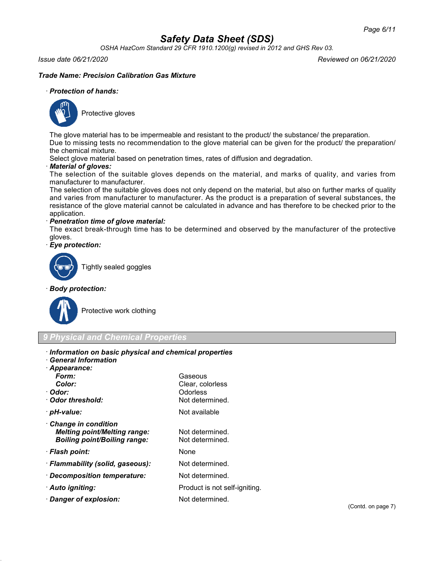*OSHA HazCom Standard 29 CFR 1910.1200(g) revised in 2012 and GHS Rev 03.*

*Issue date 06/21/2020 Reviewed on 06/21/2020*

## *Trade Name: Precision Calibration Gas Mixture*

## · *Protection of hands:*



Protective gloves

The glove material has to be impermeable and resistant to the product/ the substance/ the preparation.

Due to missing tests no recommendation to the glove material can be given for the product/ the preparation/ the chemical mixture.

Select glove material based on penetration times, rates of diffusion and degradation.

## · *Material of gloves:*

The selection of the suitable gloves depends on the material, and marks of quality, and varies from manufacturer to manufacturer.

The selection of the suitable gloves does not only depend on the material, but also on further marks of quality and varies from manufacturer to manufacturer. As the product is a preparation of several substances, the resistance of the glove material cannot be calculated in advance and has therefore to be checked prior to the application.

#### · *Penetration time of glove material:*

The exact break-through time has to be determined and observed by the manufacturer of the protective gloves.

## · *Eye protection:*



Tightly sealed goggles

· *Body protection:*



Protective work clothing

- *9 Physical and Chemical Properties*
- · *Information on basic physical and chemical properties*
- · *General Information*

| · Appearance:                       |                               |
|-------------------------------------|-------------------------------|
| Form:                               | Gaseous                       |
| Color:                              | Clear, colorless              |
| · Odor:                             | Odorless                      |
| Odor threshold:                     | Not determined.               |
| · pH-value:                         | Not available                 |
| $\cdot$ Change in condition         |                               |
| <b>Melting point/Melting range:</b> | Not determined.               |
| <b>Boiling point/Boiling range:</b> | Not determined.               |
| · Flash point:                      | None                          |
| · Flammability (solid, gaseous):    | Not determined.               |
| · Decomposition temperature:        | Not determined.               |
| · Auto igniting:                    | Product is not self-igniting. |
| · Danger of explosion:              | Not determined.               |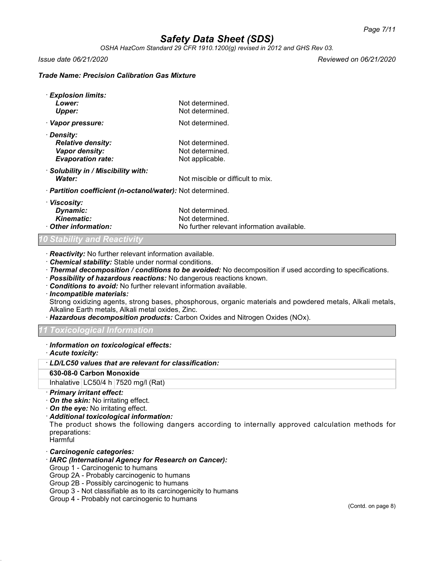*OSHA HazCom Standard 29 CFR 1910.1200(g) revised in 2012 and GHS Rev 03.*

*Issue date 06/21/2020 Reviewed on 06/21/2020*

## *Trade Name: Precision Calibration Gas Mixture*

| · Explosion limits:                                               |                                            |
|-------------------------------------------------------------------|--------------------------------------------|
| Lower:                                                            | Not determined.                            |
| <b>Upper:</b>                                                     | Not determined.                            |
| · Vapor pressure:                                                 | Not determined.                            |
| · Density:                                                        |                                            |
| <b>Relative density:</b>                                          | Not determined.                            |
| Vapor density:                                                    | Not determined.                            |
| <b>Evaporation rate:</b>                                          | Not applicable.                            |
| · Solubility in / Miscibility with:                               |                                            |
| Water:                                                            | Not miscible or difficult to mix.          |
| · <b>Partition coefficient (n-octanol/water):</b> Not determined. |                                            |
| · Viscosity:                                                      |                                            |
| Dynamic:                                                          | Not determined.                            |
| <b>Kinematic:</b>                                                 | Not determined.                            |
| Other information:                                                | No further relevant information available. |

#### *10 Stability and Reactivity*

· *Reactivity:* No further relevant information available.

· *Chemical stability:* Stable under normal conditions.

· *Thermal decomposition / conditions to be avoided:* No decomposition if used according to specifications.

- · *Possibility of hazardous reactions:* No dangerous reactions known.
- · *Conditions to avoid:* No further relevant information available.
- · *Incompatible materials:*

Strong oxidizing agents, strong bases, phosphorous, organic materials and powdered metals, Alkali metals, Alkaline Earth metals, Alkali metal oxides, Zinc.

· *Hazardous decomposition products:* Carbon Oxides and Nitrogen Oxides (NOx).

*11 Toxicological Information*

- · *Information on toxicological effects:*
- · *Acute toxicity:*

## · *LD/LC50 values that are relevant for classification:*

**630-08-0 Carbon Monoxide**

Inhalative  $LC50/4$  h 7520 mg/l (Rat)

- · *Primary irritant effect:*
- · *On the skin:* No irritating effect.
- · *On the eye:* No irritating effect.
- · *Additional toxicological information:*

The product shows the following dangers according to internally approved calculation methods for preparations:

**Harmful** 

- · *Carcinogenic categories:*
- · *IARC (International Agency for Research on Cancer):*

Group 1 - Carcinogenic to humans

Group 2A - Probably carcinogenic to humans

Group 2B - Possibly carcinogenic to humans

Group 3 - Not classifiable as to its carcinogenicity to humans

Group 4 - Probably not carcinogenic to humans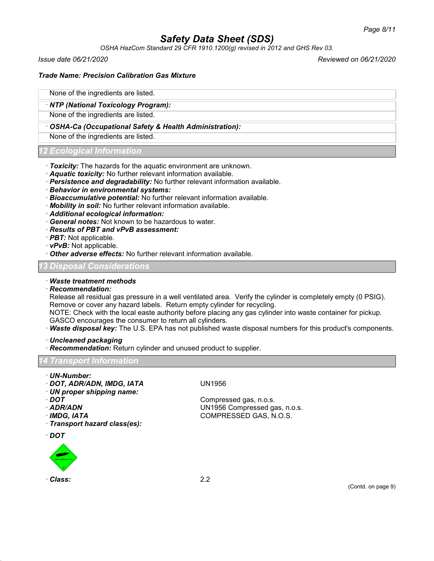*OSHA HazCom Standard 29 CFR 1910.1200(g) revised in 2012 and GHS Rev 03.*

*Issue date 06/21/2020 Reviewed on 06/21/2020*

## *Trade Name: Precision Calibration Gas Mixture*

## None of the ingredients are listed.

## · *NTP (National Toxicology Program):*

None of the ingredients are listed.

## · *OSHA-Ca (Occupational Safety & Health Administration):*

None of the ingredients are listed.

## *12 Ecological Information*

- · *Toxicity:* The hazards for the aquatic environment are unknown.
- · *Aquatic toxicity:* No further relevant information available.
- · *Persistence and degradability:* No further relevant information available.
- · *Behavior in environmental systems:*
- · *Bioaccumulative potential:* No further relevant information available.
- · *Mobility in soil:* No further relevant information available.
- · *Additional ecological information:*
- · *General notes:* Not known to be hazardous to water.
- · *Results of PBT and vPvB assessment:*
- · *PBT:* Not applicable.
- · *vPvB:* Not applicable.
- · *Other adverse effects:* No further relevant information available.

## *13 Disposal Considerations*

- · *Waste treatment methods*
- · *Recommendation:*

Release all residual gas pressure in a well ventilated area. Verify the cylinder is completely empty (0 PSIG). Remove or cover any hazard labels. Return empty cylinder for recycling.

NOTE: Check with the local easte authority before placing any gas cylinder into waste container for pickup. GASCO encourages the consumer to return all cylinders.

- · *Waste disposal key:* The U.S. EPA has not published waste disposal numbers for this product's components.
- · *Uncleaned packaging*
- · *Recommendation:* Return cylinder and unused product to supplier.

## *14 Transport Information*

- · *UN-Number:*
- · *DOT, ADR/ADN, IMDG, IATA* UN1956
- · *UN proper shipping name:*
- 
- 
- 
- · *Transport hazard class(es):*
- · *DOT*



· *Class:* 2.2

Compressed gas, n.o.s. · *ADR/ADN* UN1956 Compressed gas, n.o.s. · *IMDG, IATA* COMPRESSED GAS, N.O.S.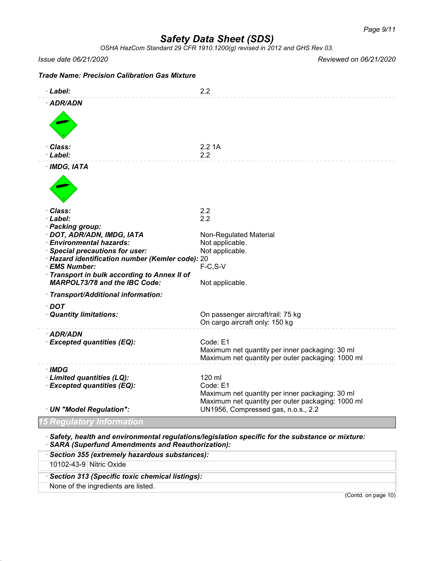*OSHA HazCom Standard 29 CFR 1910.1200(g) revised in 2012 and GHS Rev 03.*

## *Issue date 06/21/2020 Reviewed on 06/21/2020*

| <b>Trade Name: Precision Calibration Gas Mixture</b>                                                                                                                                                                                                                       |                                                                                                                                                                   |
|----------------------------------------------------------------------------------------------------------------------------------------------------------------------------------------------------------------------------------------------------------------------------|-------------------------------------------------------------------------------------------------------------------------------------------------------------------|
| · Label:                                                                                                                                                                                                                                                                   | 2.2                                                                                                                                                               |
| · ADR/ADN                                                                                                                                                                                                                                                                  |                                                                                                                                                                   |
| · Class:<br>· Label:                                                                                                                                                                                                                                                       | 2.21A<br>2.2                                                                                                                                                      |
| $·$ IMDG, IATA                                                                                                                                                                                                                                                             |                                                                                                                                                                   |
| · Class:<br>· Label:                                                                                                                                                                                                                                                       | 2.2<br>2.2                                                                                                                                                        |
| · Packing group:<br>· DOT, ADR/ADN, IMDG, IATA<br>· Environmental hazards:<br>· Special precautions for user:<br>· Hazard identification number (Kemler code): 20<br>· EMS Number:<br>· Transport in bulk according to Annex II of<br><b>MARPOL73/78 and the IBC Code:</b> | Non-Regulated Material<br>Not applicable.<br>Not applicable.<br>$F-C, S-V$<br>Not applicable.                                                                     |
| · Transport/Additional information:                                                                                                                                                                                                                                        |                                                                                                                                                                   |
| $\cdot$ DOT<br>· Quantity limitations:                                                                                                                                                                                                                                     | On passenger aircraft/rail: 75 kg<br>On cargo aircraft only: 150 kg                                                                                               |
| · ADR/ADN<br>· Excepted quantities (EQ):                                                                                                                                                                                                                                   | Code: E1<br>Maximum net quantity per inner packaging: 30 ml<br>Maximum net quantity per outer packaging: 1000 ml                                                  |
| · IMDG<br>· Limited quantities (LQ):<br>· Excepted quantities (EQ):<br>· UN "Model Regulation":                                                                                                                                                                            | 120 ml<br>Code: E1<br>Maximum net quantity per inner packaging: 30 ml<br>Maximum net quantity per outer packaging: 1000 ml<br>UN1956, Compressed gas, n.o.s., 2.2 |
| <b>5 Regulatory Information</b>                                                                                                                                                                                                                                            |                                                                                                                                                                   |
|                                                                                                                                                                                                                                                                            | Cafaty, hoolth and anyiranmantal requisionallequialation appeific for the qubetenes or mixture:                                                                   |

· *Safety, health and environmental regulations/legislation specific for the substance or mixture:* · *SARA (Superfund Amendments and Reauthorization):*

| Section 355 (extremely hazardous substances):   |                     |
|-------------------------------------------------|---------------------|
| 10102-43-9 Nitric Oxide                         |                     |
| Section 313 (Specific toxic chemical listings): |                     |
| None of the ingredients are listed.             |                     |
|                                                 | (Contd. on page 10) |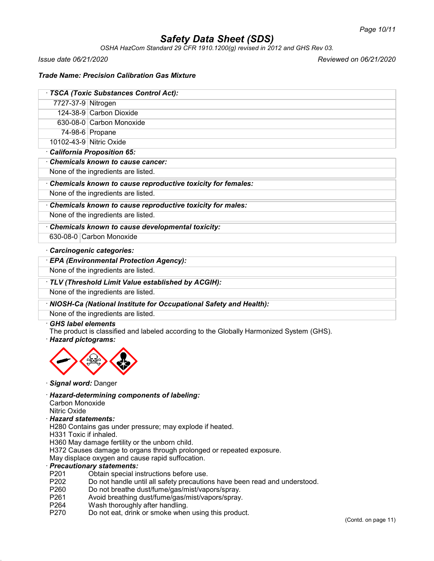*OSHA HazCom Standard 29 CFR 1910.1200(g) revised in 2012 and GHS Rev 03.*

*Issue date 06/21/2020 Reviewed on 06/21/2020*

## *Trade Name: Precision Calibration Gas Mixture*

| · TSCA (Toxic Substances Control Act):                      |                          |  |
|-------------------------------------------------------------|--------------------------|--|
| 7727-37-9 Nitrogen                                          |                          |  |
|                                                             | 124-38-9 Carbon Dioxide  |  |
|                                                             | 630-08-0 Carbon Monoxide |  |
|                                                             | 74-98-6 Propane          |  |
| 10102-43-9 Nitric Oxide                                     |                          |  |
| California Proposition 65:                                  |                          |  |
| Chemicals known to cause cancer:                            |                          |  |
| None of the ingredients are listed.                         |                          |  |
| Chemicals known to cause reproductive toxicity for females: |                          |  |
| None of the ingredients are listed.                         |                          |  |
| Chemicals known to cause reproductive toxicity for males:   |                          |  |
| None of the ingredients are listed.                         |                          |  |

· *Chemicals known to cause developmental toxicity:* 630-08-0 Carbon Monoxide

#### · *Carcinogenic categories:*

#### · *EPA (Environmental Protection Agency):*

None of the ingredients are listed.

· *TLV (Threshold Limit Value established by ACGIH):*

None of the ingredients are listed.

## · *NIOSH-Ca (National Institute for Occupational Safety and Health):*

## None of the ingredients are listed.

## · *GHS label elements*

The product is classified and labeled according to the Globally Harmonized System (GHS).

· *Hazard pictograms:*



- · *Signal word:* Danger
- · *Hazard-determining components of labeling:*
- Carbon Monoxide
- Nitric Oxide
- · *Hazard statements:*
- H280 Contains gas under pressure; may explode if heated.
- H331 Toxic if inhaled.
- H360 May damage fertility or the unborn child.
- H372 Causes damage to organs through prolonged or repeated exposure.

## May displace oxygen and cause rapid suffocation.

#### · *Precautionary statements:*

- P201 Obtain special instructions before use.<br>P202 Do not handle until all safety precaution
- P202 Do not handle until all safety precautions have been read and understood.<br>P260 Do not breathe dust/fume/gas/mist/vapors/sprav.
- Do not breathe dust/fume/gas/mist/vapors/spray.
- P261 Avoid breathing dust/fume/gas/mist/vapors/spray.
- P264 Wash thoroughly after handling.<br>P270 Do not eat. drink or smoke wher
- Do not eat, drink or smoke when using this product.